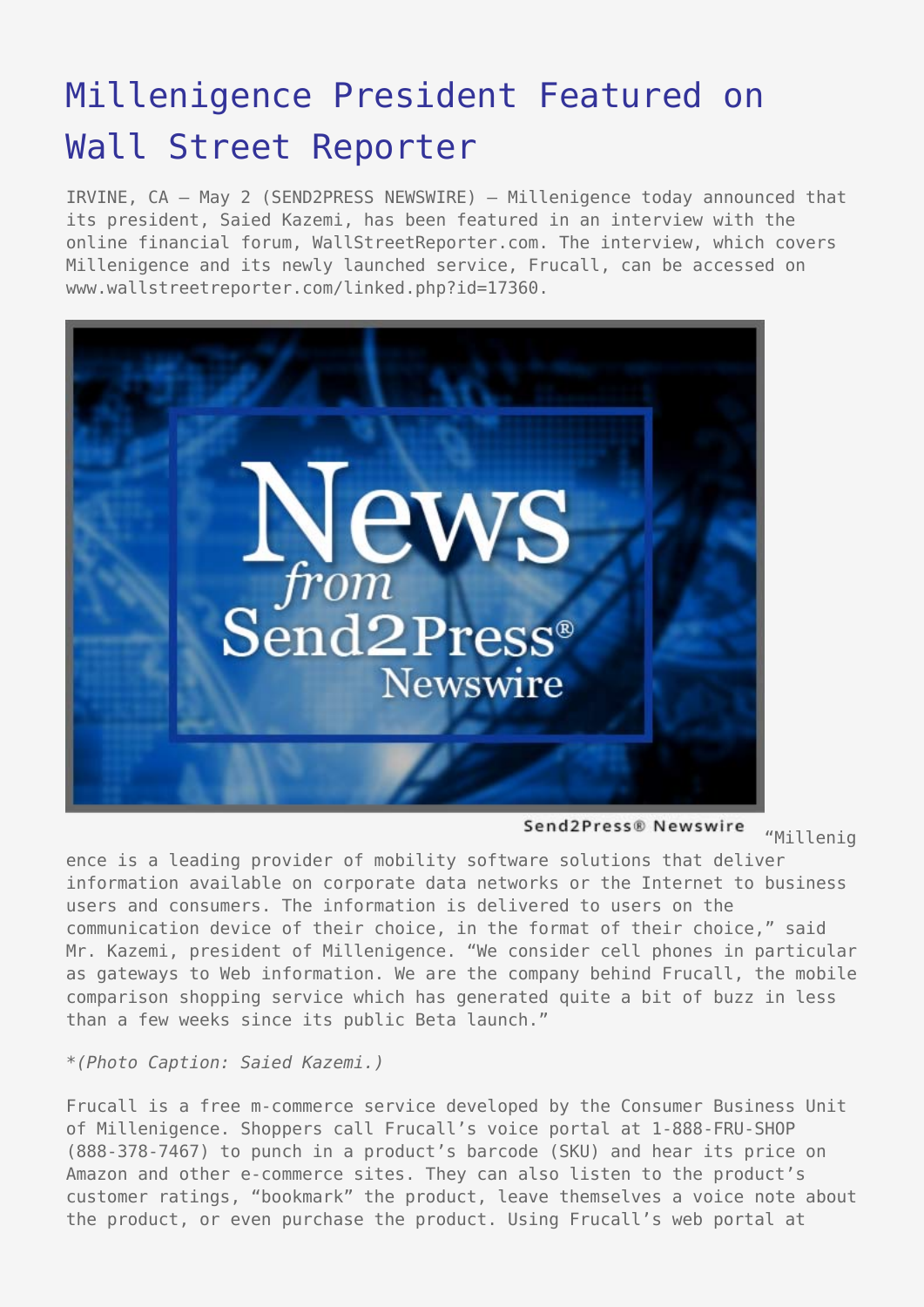## [Millenigence President Featured on](https://www.send2press.com/wire/2006-05-0502-006/) [Wall Street Reporter](https://www.send2press.com/wire/2006-05-0502-006/)

IRVINE, CA – May 2 (SEND2PRESS NEWSWIRE) — Millenigence today announced that its president, Saied Kazemi, has been featured in an interview with the online financial forum, WallStreetReporter.com. The interview, which covers Millenigence and its newly launched service, Frucall, can be accessed on www.wallstreetreporter.com/linked.php?id=17360.



Send2Press® Newswire "Millenig

ence is a leading provider of mobility software solutions that deliver information available on corporate data networks or the Internet to business users and consumers. The information is delivered to users on the communication device of their choice, in the format of their choice," said Mr. Kazemi, president of Millenigence. "We consider cell phones in particular as gateways to Web information. We are the company behind Frucall, the mobile comparison shopping service which has generated quite a bit of buzz in less than a few weeks since its public Beta launch."

*\*(Photo Caption: Saied Kazemi.)*

Frucall is a free m-commerce service developed by the Consumer Business Unit of Millenigence. Shoppers call Frucall's voice portal at 1-888-FRU-SHOP (888-378-7467) to punch in a product's barcode (SKU) and hear its price on Amazon and other e-commerce sites. They can also listen to the product's customer ratings, "bookmark" the product, leave themselves a voice note about the product, or even purchase the product. Using Frucall's web portal at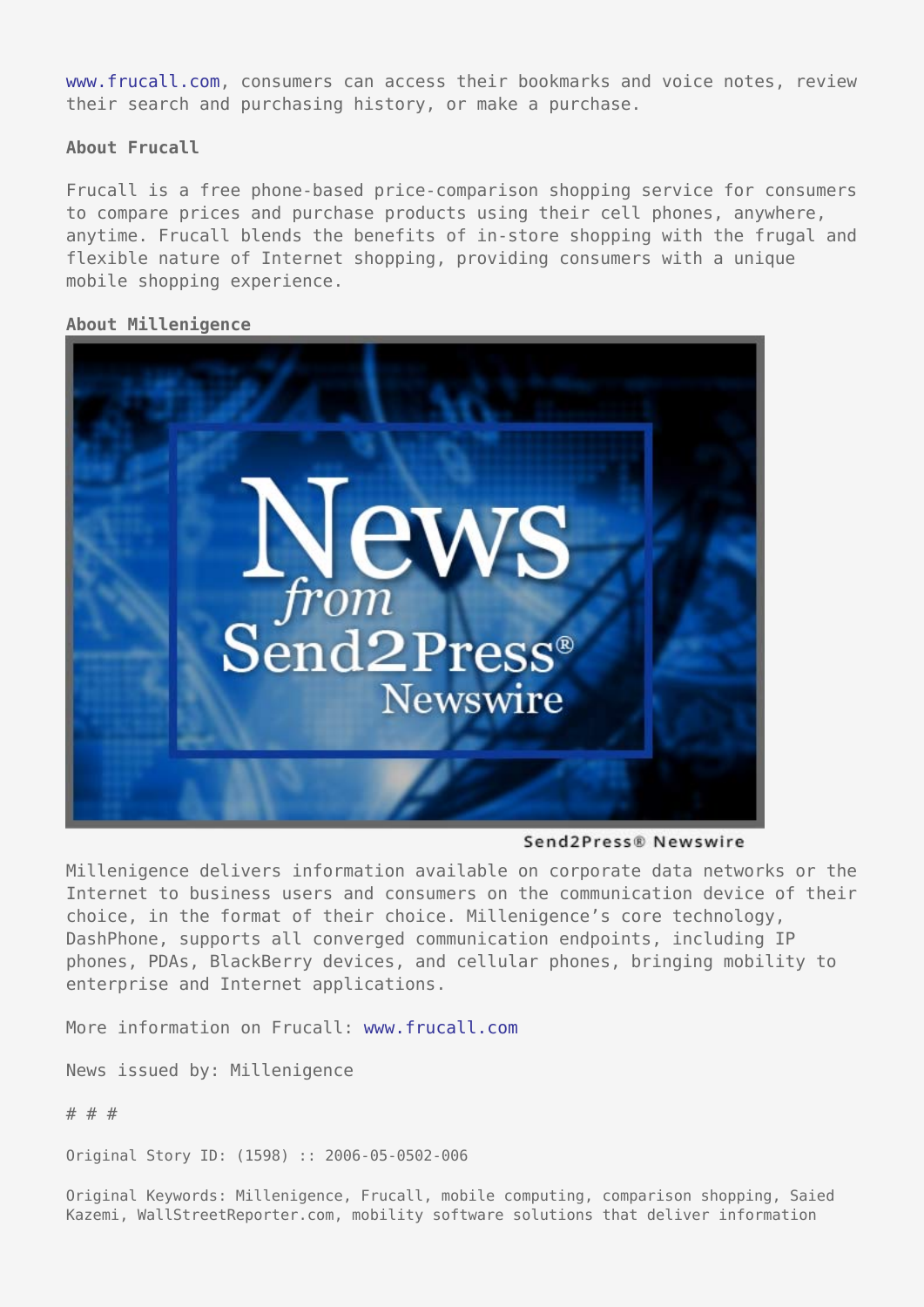[www.frucall.com,](http://www.frucall.com) consumers can access their bookmarks and voice notes, review their search and purchasing history, or make a purchase.

**About Frucall**

Frucall is a free phone-based price-comparison shopping service for consumers to compare prices and purchase products using their cell phones, anywhere, anytime. Frucall blends the benefits of in-store shopping with the frugal and flexible nature of Internet shopping, providing consumers with a unique mobile shopping experience.

## **About Millenigence**



Send2Press® Newswire

Millenigence delivers information available on corporate data networks or the Internet to business users and consumers on the communication device of their choice, in the format of their choice. Millenigence's core technology, DashPhone, supports all converged communication endpoints, including IP phones, PDAs, BlackBerry devices, and cellular phones, bringing mobility to enterprise and Internet applications.

More information on Frucall: [www.frucall.com](http://www.frucall.com)

News issued by: Millenigence

# # #

Original Story ID: (1598) :: 2006-05-0502-006

Original Keywords: Millenigence, Frucall, mobile computing, comparison shopping, Saied Kazemi, WallStreetReporter.com, mobility software solutions that deliver information